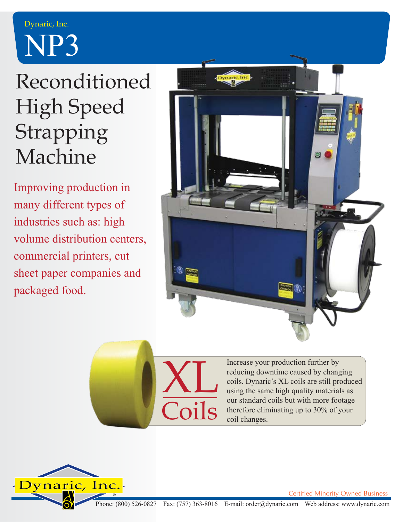## NP3 Dynaric, Inc.

## Reconditioned High Speed Strapping Machine

Improving production in many different types of industries such as: high volume distribution centers, commercial printers, cut sheet paper companies and packaged food.



XL nils

Increase your production further by reducing downtime caused by changing coils. Dynaric's XL coils are still produced using the same high quality materials as our standard coils but with more footage therefore eliminating up to 30% of your coil changes.